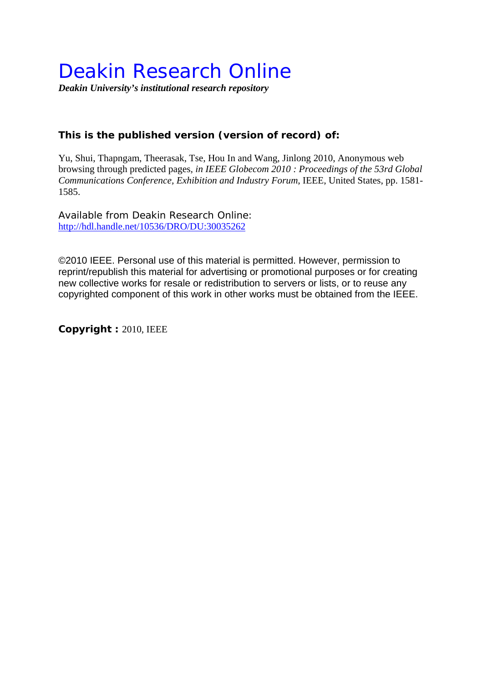# Deakin Research Online

*Deakin University's institutional research repository* 

### **This is the published version (version of record) of:**

Yu, Shui, Thapngam, Theerasak, Tse, Hou In and Wang, Jinlong 2010, Anonymous web browsing through predicted pages*, in IEEE Globecom 2010 : Proceedings of the 53rd Global Communications Conference, Exhibition and Industry Forum*, IEEE, United States, pp. 1581- 1585.

Available from Deakin Research Online: http://hdl.handle.net/10536/DRO/DU:30035262

©2010 IEEE. Personal use of this material is permitted. However, permission to reprint/republish this material for advertising or promotional purposes or for creating new collective works for resale or redistribution to servers or lists, or to reuse any copyrighted component of this work in other works must be obtained from the IEEE.

**Copyright :** 2010, IEEE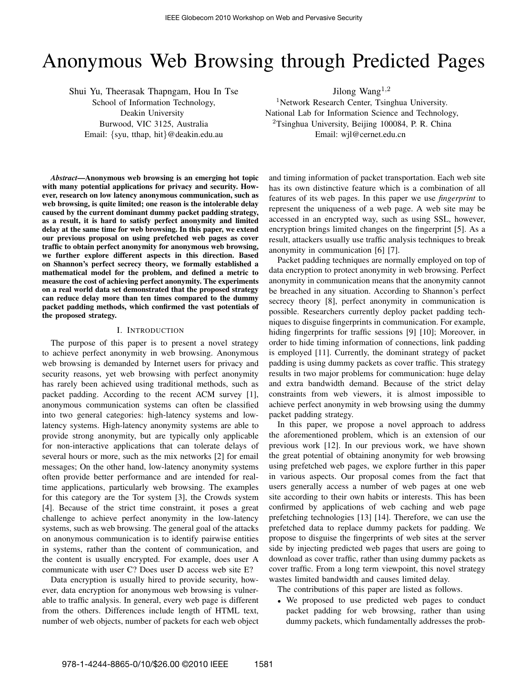## Anonymous Web Browsing through Predicted Pages

Shui Yu, Theerasak Thapngam, Hou In Tse School of Information Technology, Deakin University Burwood, VIC 3125, Australia Email: {syu, tthap, hit}@deakin.edu.au

*Abstract*—Anonymous web browsing is an emerging hot topic with many potential applications for privacy and security. However, research on low latency anonymous communication, such as web browsing, is quite limited; one reason is the intolerable delay caused by the current dominant dummy packet padding strategy, as a result, it is hard to satisfy perfect anonymity and limited delay at the same time for web browsing. In this paper, we extend our previous proposal on using prefetched web pages as cover traffic to obtain perfect anonymity for anonymous web browsing, we further explore different aspects in this direction. Based on Shannon's perfect secrecy theory, we formally established a mathematical model for the problem, and defined a metric to measure the cost of achieving perfect anonymity. The experiments on a real world data set demonstrated that the proposed strategy can reduce delay more than ten times compared to the dummy packet padding methods, which confirmed the vast potentials of the proposed strategy.

#### I. INTRODUCTION

The purpose of this paper is to present a novel strategy to achieve perfect anonymity in web browsing. Anonymous web browsing is demanded by Internet users for privacy and security reasons, yet web browsing with perfect anonymity has rarely been achieved using traditional methods, such as packet padding. According to the recent ACM survey [1], anonymous communication systems can often be classified into two general categories: high-latency systems and lowlatency systems. High-latency anonymity systems are able to provide strong anonymity, but are typically only applicable for non-interactive applications that can tolerate delays of several hours or more, such as the mix networks [2] for email messages; On the other hand, low-latency anonymity systems often provide better performance and are intended for realtime applications, particularly web browsing. The examples for this category are the Tor system [3], the Crowds system [4]. Because of the strict time constraint, it poses a great challenge to achieve perfect anonymity in the low-latency systems, such as web browsing. The general goal of the attacks on anonymous communication is to identify pairwise entities in systems, rather than the content of communication, and the content is usually encrypted. For example, does user A communicate with user C? Does user D access web site E?

Data encryption is usually hired to provide security, however, data encryption for anonymous web browsing is vulnerable to traffic analysis. In general, every web page is different from the others. Differences include length of HTML text, number of web objects, number of packets for each web object and timing information of packet transportation. Each web site has its own distinctive feature which is a combination of all features of its web pages. In this paper we use *fingerprint* to represent the uniqueness of a web page. A web site may be accessed in an encrypted way, such as using SSL, however,

encryption brings limited changes on the fingerprint [5]. As a result, attackers usually use traffic analysis techniques to break

Jilong Wang $^{1,2}$ <sup>1</sup>Network Research Center, Tsinghua University. National Lab for Information Science and Technology, <sup>2</sup>Tsinghua University, Beijing 100084, P. R. China Email: wjl@cernet.edu.cn

anonymity in communication [6] [7]. Packet padding techniques are normally employed on top of data encryption to protect anonymity in web browsing. Perfect anonymity in communication means that the anonymity cannot be breached in any situation. According to Shannon's perfect secrecy theory [8], perfect anonymity in communication is possible. Researchers currently deploy packet padding techniques to disguise fingerprints in communication. For example, hiding fingerprints for traffic sessions [9] [10]; Moreover, in order to hide timing information of connections, link padding is employed [11]. Currently, the dominant strategy of packet padding is using dummy packets as cover traffic. This strategy results in two major problems for communication: huge delay and extra bandwidth demand. Because of the strict delay constraints from web viewers, it is almost impossible to achieve perfect anonymity in web browsing using the dummy packet padding strategy.

In this paper, we propose a novel approach to address the aforementioned problem, which is an extension of our previous work [12]. In our previous work, we have shown the great potential of obtaining anonymity for web browsing using prefetched web pages, we explore further in this paper in various aspects. Our proposal comes from the fact that users generally access a number of web pages at one web site according to their own habits or interests. This has been confirmed by applications of web caching and web page prefetching technologies [13] [14]. Therefore, we can use the prefetched data to replace dummy packets for padding. We propose to disguise the fingerprints of web sites at the server side by injecting predicted web pages that users are going to download as cover traffic, rather than using dummy packets as cover traffic. From a long term viewpoint, this novel strategy wastes limited bandwidth and causes limited delay.

The contributions of this paper are listed as follows.

• We proposed to use predicted web pages to conduct packet padding for web browsing, rather than using dummy packets, which fundamentally addresses the prob-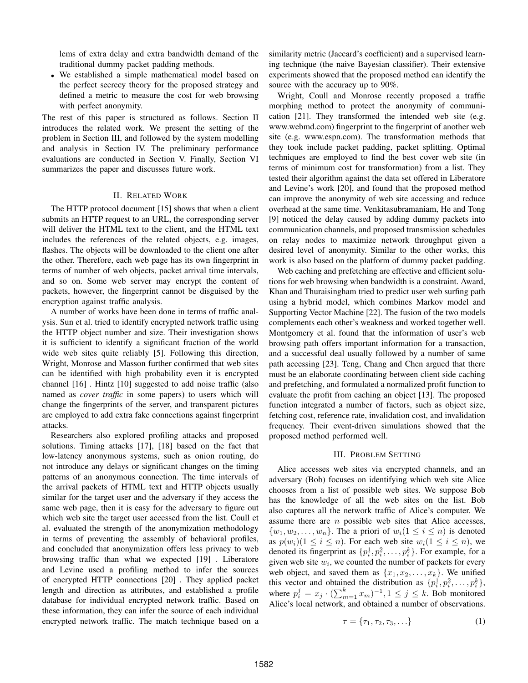lems of extra delay and extra bandwidth demand of the traditional dummy packet padding methods.

• We established a simple mathematical model based on the perfect secrecy theory for the proposed strategy and defined a metric to measure the cost for web browsing with perfect anonymity.

The rest of this paper is structured as follows. Section II introduces the related work. We present the setting of the problem in Section III, and followed by the system modelling and analysis in Section IV. The preliminary performance evaluations are conducted in Section V. Finally, Section VI summarizes the paper and discusses future work.

#### II. RELATED WORK

The HTTP protocol document [15] shows that when a client submits an HTTP request to an URL, the corresponding server will deliver the HTML text to the client, and the HTML text includes the references of the related objects, e.g. images, flashes. The objects will be downloaded to the client one after the other. Therefore, each web page has its own fingerprint in terms of number of web objects, packet arrival time intervals, and so on. Some web server may encrypt the content of packets, however, the fingerprint cannot be disguised by the encryption against traffic analysis.

A number of works have been done in terms of traffic analysis. Sun et al. tried to identify encrypted network traffic using the HTTP object number and size. Their investigation shows it is sufficient to identify a significant fraction of the world wide web sites quite reliably [5]. Following this direction, Wright, Monrose and Masson further confirmed that web sites can be identified with high probability even it is encrypted channel [16] . Hintz [10] suggested to add noise traffic (also named as *cover traffic* in some papers) to users which will change the fingerprints of the server, and transparent pictures are employed to add extra fake connections against fingerprint attacks.

Researchers also explored profiling attacks and proposed solutions. Timing attacks [17], [18] based on the fact that low-latency anonymous systems, such as onion routing, do not introduce any delays or significant changes on the timing patterns of an anonymous connection. The time intervals of the arrival packets of HTML text and HTTP objects usually similar for the target user and the adversary if they access the same web page, then it is easy for the adversary to figure out which web site the target user accessed from the list. Coull et al. evaluated the strength of the anonymization methodology in terms of preventing the assembly of behavioral profiles, and concluded that anonymization offers less privacy to web browsing traffic than what we expected [19] . Liberatore and Levine used a profiling method to infer the sources of encrypted HTTP connections [20] . They applied packet length and direction as attributes, and established a profile database for individual encrypted network traffic. Based on these information, they can infer the source of each individual encrypted network traffic. The match technique based on a similarity metric (Jaccard's coefficient) and a supervised learning technique (the naive Bayesian classifier). Their extensive experiments showed that the proposed method can identify the source with the accuracy up to 90%.

Wright, Coull and Monrose recently proposed a traffic morphing method to protect the anonymity of communication [21]. They transformed the intended web site (e.g. www.webmd.com) fingerprint to the fingerprint of another web site (e.g. www.espn.com). The transformation methods that they took include packet padding, packet splitting. Optimal techniques are employed to find the best cover web site (in terms of minimum cost for transformation) from a list. They tested their algorithm against the data set offered in Liberatore and Levine's work [20], and found that the proposed method can improve the anonymity of web site accessing and reduce overhead at the same time. Venkitasubramaniam, He and Tong [9] noticed the delay caused by adding dummy packets into communication channels, and proposed transmission schedules on relay nodes to maximize network throughput given a desired level of anonymity. Similar to the other works, this work is also based on the platform of dummy packet padding.

Web caching and prefetching are effective and efficient solutions for web browsing when bandwidth is a constraint. Award, Khan and Thuraisingham tried to predict user web surfing path using a hybrid model, which combines Markov model and Supporting Vector Machine [22]. The fusion of the two models complements each other's weakness and worked together well. Montgomery et al. found that the information of user's web browsing path offers important information for a transaction, and a successful deal usually followed by a number of same path accessing [23]. Teng, Chang and Chen argued that there must be an elaborate coordinating between client side caching and prefetching, and formulated a normalized profit function to evaluate the profit from caching an object [13]. The proposed function integrated a number of factors, such as object size, fetching cost, reference rate, invalidation cost, and invalidation frequency. Their event-driven simulations showed that the proposed method performed well.

#### III. PROBLEM SETTING

Alice accesses web sites via encrypted channels, and an adversary (Bob) focuses on identifying which web site Alice chooses from a list of possible web sites. We suppose Bob has the knowledge of all the web sites on the list. Bob also captures all the network traffic of Alice's computer. We assume there are  $n$  possible web sites that Alice accesses,  $\{w_1, w_2, \ldots, w_n\}$ . The a priori of  $w_i (1 \leq i \leq n)$  is denoted as  $p(w_i)(1 \leq i \leq n)$ . For each web site  $w_i(1 \leq i \leq n)$ , we denoted its fingerprint as  $\{p_i^1, p_i^2, \ldots, p_i^k\}$ . For example, for a given web site  $w_i$ , we counted the number of packets for every web object, and saved them as  $\{x_1, x_2, \ldots, x_k\}$ . We unified this vector and obtained the distribution as  $\{p_i^1, p_i^2, \ldots, p_i^k\}$ , where  $p_i^j = x_j \cdot (\sum_{m=1}^k x_m)^{-1}, 1 \le j \le k$ . Bob monitored Alice's local network, and obtained a number of observations.

$$
\tau = \{\tau_1, \tau_2, \tau_3, \ldots\} \tag{1}
$$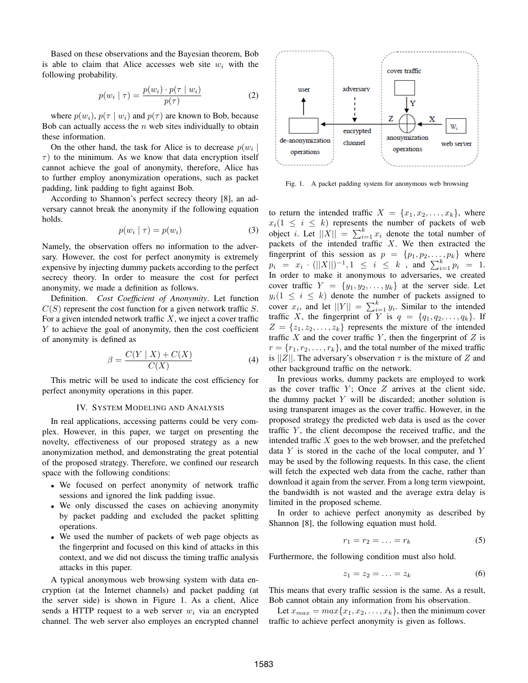Based on these observations and the Bayesian theorem, Bob is able to claim that Alice accesses web site  $w_i$  with the following probability.

$$
p(w_i \mid \tau) = \frac{p(w_i) \cdot p(\tau \mid w_i)}{p(\tau)}\tag{2}
$$

where  $p(w_i)$ ,  $p(\tau | w_i)$  and  $p(\tau)$  are known to Bob, because Bob can actually access the  $n$  web sites individually to obtain these information.

On the other hand, the task for Alice is to decrease  $p(w_i | w_i)$  $\tau$ ) to the minimum. As we know that data encryption itself cannot achieve the goal of anonymity, therefore, Alice has to further employ anonymization operations, such as packet padding, link padding to fight against Bob.

According to Shannon's perfect secrecy theory [8], an adversary cannot break the anonymity if the following equation holds.

$$
p(w_i \mid \tau) = p(w_i) \tag{3}
$$

Namely, the observation offers no information to the adversary. However, the cost for perfect anonymity is extremely expensive by injecting dummy packets according to the perfect secrecy theory. In order to measure the cost for perfect anonymity, we made a definition as follows.

Definition. *Cost Coefficient of Anonymity*. Let function  $C(S)$  represent the cost function for a given network traffic S. For a given intended network traffic  $X$ , we inject a cover traffic Y to achieve the goal of anonymity, then the cost coefficient of anonymity is defined as

$$
\beta = \frac{C(Y \mid X) + C(X)}{C(X)}\tag{4}
$$

This metric will be used to indicate the cost efficiency for perfect anonymity operations in this paper.

#### IV. SYSTEM MODELING AND ANALYSIS

In real applications, accessing patterns could be very complex. However, in this paper, we target on presenting the novelty, effectiveness of our proposed strategy as a new anonymization method, and demonstrating the great potential of the proposed strategy. Therefore, we confined our research space with the following conditions:

- We focused on perfect anonymity of network traffic sessions and ignored the link padding issue.
- We only discussed the cases on achieving anonymity by packet padding and excluded the packet splitting operations.
- We used the number of packets of web page objects as the fingerprint and focused on this kind of attacks in this context, and we did not discuss the timing traffic analysis attacks in this paper.

A typical anonymous web browsing system with data encryption (at the Internet channels) and packet padding (at the server side) is shown in Figure 1. As a client, Alice sends a HTTP request to a web server  $w_i$  via an encrypted channel. The web server also employes an encrypted channel



Fig. 1. A packet padding system for anonymous web browsing

to return the intended traffic  $X = \{x_1, x_2, \ldots, x_k\}$ , where  $x_i(1 \leq i \leq k)$  represents the number of packets of web object *i*. Let  $||X|| = \sum_{i=1}^{k} x_i$  denote the total number of packets of the intended traffic  $X$ . We then extracted the fingerprint of this session as  $p = \{p_1, p_2, \ldots, p_k\}$  where  $p_i = x_i \cdot (||X||)^{-1}, 1 \le i \le k$ , and  $\sum_{i=1}^k p_i = 1$ . In order to make it anonymous to adversaries, we created cover traffic  $Y = \{y_1, y_2, \ldots, y_k\}$  at the server side. Let  $y_i(1 \leq i \leq k)$  denote the number of packets assigned to cover  $x_i$ , and let  $||Y|| = \sum_{i=1}^k y_i$ . Similar to the intended traffic X, the fingerprint of Y is  $q = \{q_1, q_2, \ldots, q_k\}$ . If  $Z = \{z_1, z_2, \ldots, z_k\}$  represents the mixture of the intended traffic  $X$  and the cover traffic  $Y$ , then the fingerprint of  $Z$  is  $r = \{r_1, r_2, \ldots, r_k\}$ , and the total number of the mixed traffic is  $||Z||$ . The adversary's observation  $\tau$  is the mixture of Z and other background traffic on the network.

In previous works, dummy packets are employed to work as the cover traffic  $Y$ ; Once  $Z$  arrives at the client side, the dummy packet  $Y$  will be discarded; another solution is using transparent images as the cover traffic. However, in the proposed strategy the predicted web data is used as the cover traffic  $Y$ , the client decompose the received traffic, and the intended traffic  $X$  goes to the web browser, and the prefetched data  $Y$  is stored in the cache of the local computer, and  $Y$ may be used by the following requests. In this case, the client will fetch the expected web data from the cache, rather than download it again from the server. From a long term viewpoint, the bandwidth is not wasted and the average extra delay is limited in the proposed scheme.

In order to achieve perfect anonymity as described by Shannon [8], the following equation must hold.

$$
r_1 = r_2 = \ldots = r_k \tag{5}
$$

Furthermore, the following condition must also hold.

$$
z_1 = z_2 = \ldots = z_k \tag{6}
$$

This means that every traffic session is the same. As a result, Bob cannot obtain any information from his observation.

Let  $x_{max} = max\{x_1, x_2, \ldots, x_k\}$ , then the minimum cover traffic to achieve perfect anonymity is given as follows.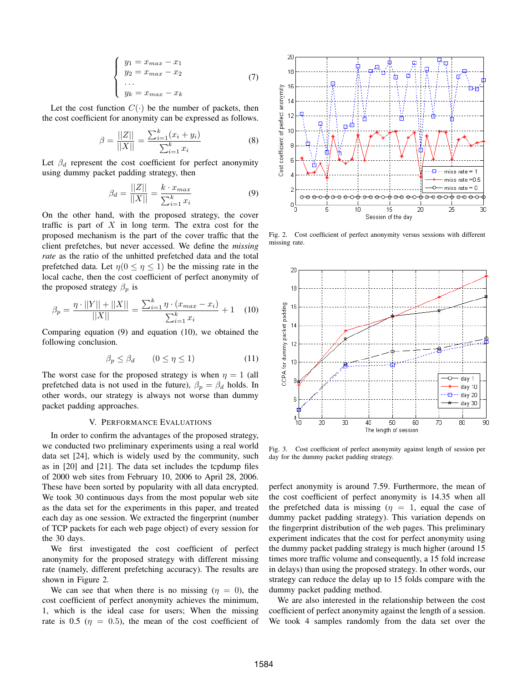$$
\begin{cases}\n y_1 = x_{max} - x_1 \\
y_2 = x_{max} - x_2 \\
\dots \\
y_k = x_{max} - x_k\n\end{cases}
$$
\n(7)

Let the cost function  $C(\cdot)$  be the number of packets, then the cost coefficient for anonymity can be expressed as follows.

$$
\beta = \frac{||Z||}{||X||} = \frac{\sum_{i=1}^{k} (x_i + y_i)}{\sum_{i=1}^{k} x_i}
$$
(8)

Let  $\beta_d$  represent the cost coefficient for perfect anonymity using dummy packet padding strategy, then

$$
\beta_d = \frac{||Z||}{||X||} = \frac{k \cdot x_{max}}{\sum_{i=1}^k x_i}
$$
(9)

On the other hand, with the proposed strategy, the cover traffic is part of  $X$  in long term. The extra cost for the proposed mechanism is the part of the cover traffic that the client prefetches, but never accessed. We define the *missing rate* as the ratio of the unhitted prefetched data and the total prefetched data. Let  $\eta(0 \le \eta \le 1)$  be the missing rate in the local cache, then the cost coefficient of perfect anonymity of the proposed strategy  $\beta_p$  is

$$
\beta_p = \frac{\eta \cdot ||Y|| + ||X||}{||X||} = \frac{\sum_{i=1}^k \eta \cdot (x_{max} - x_i)}{\sum_{i=1}^k x_i} + 1 \quad (10)
$$

Comparing equation (9) and equation (10), we obtained the following conclusion.

$$
\beta_p \le \beta_d \qquad (0 \le \eta \le 1) \tag{11}
$$

The worst case for the proposed strategy is when  $\eta = 1$  (all prefetched data is not used in the future),  $\beta_p = \beta_d$  holds. In other words, our strategy is always not worse than dummy packet padding approaches.

#### V. PERFORMANCE EVALUATIONS

In order to confirm the advantages of the proposed strategy, we conducted two preliminary experiments using a real world data set [24], which is widely used by the community, such as in [20] and [21]. The data set includes the tcpdump files of 2000 web sites from February 10, 2006 to April 28, 2006. These have been sorted by popularity with all data encrypted. We took 30 continuous days from the most popular web site as the data set for the experiments in this paper, and treated each day as one session. We extracted the fingerprint (number of TCP packets for each web page object) of every session for the 30 days.

We first investigated the cost coefficient of perfect anonymity for the proposed strategy with different missing rate (namely, different prefetching accuracy). The results are shown in Figure 2.

We can see that when there is no missing  $(\eta = 0)$ , the cost coefficient of perfect anonymity achieves the minimum, 1, which is the ideal case for users; When the missing rate is 0.5 ( $\eta = 0.5$ ), the mean of the cost coefficient of



Fig. 2. Cost coefficient of perfect anonymity versus sessions with different missing rate.



Fig. 3. Cost coefficient of perfect anonymity against length of session per day for the dummy packet padding strategy.

perfect anonymity is around 7.59. Furthermore, the mean of the cost coefficient of perfect anonymity is 14.35 when all the prefetched data is missing ( $\eta = 1$ , equal the case of dummy packet padding strategy). This variation depends on the fingerprint distribution of the web pages. This preliminary experiment indicates that the cost for perfect anonymity using the dummy packet padding strategy is much higher (around 15 times more traffic volume and consequently, a 15 fold increase in delays) than using the proposed strategy. In other words, our strategy can reduce the delay up to 15 folds compare with the dummy packet padding method.

We are also interested in the relationship between the cost coefficient of perfect anonymity against the length of a session. We took 4 samples randomly from the data set over the